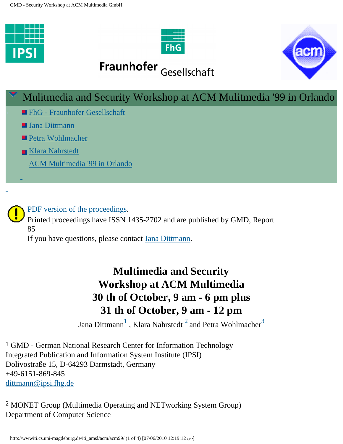





# Fraunhofer Gesellschaft

# Mulitmedia and Security Workshop at ACM Mulitmedia '99 in Orlando **Example Find - Fraunhofer Gesellschaft** ■ [Jana Dittmann](mailto:%20dittmann@ipsi.fhg.de) ■ [Petra Wohlmacher](mailto: petra@ifi.uni-klu.ac.at) [Klara Nahrstedt](mailto: klara@nahrstedt.cs.uiuc.edu) [ACM Multimedia '99 in Orlando](http://www.kom.e-technik.tu-darmstadt.de/acmmm99/index.html)

# [PDF version of the proceedings](http://wwwiti.cs.uni-magdeburg.de/iti_amsl/acm/acm99/GMD_report.pdf).

Printed proceedings have ISSN 1435-2702 and are published by GMD, Report 85

If you have questions, please contact [Jana Dittmann.](mailto:%20dittmann@ipsi.fhg.de)

# **Multimedia and Security Workshop at ACM Multimedia 30 th of October, 9 am - 6 pm plus 31 th of October, 9 am - 12 pm**

Jana Dittmann $^{\underline{1}}$  $^{\underline{1}}$  $^{\underline{1}}$  , Klara Nahrstedt  $^{\underline{2}}$  $^{\underline{2}}$  $^{\underline{2}}$  and Petra Wohlmacher $^{\underline{3}}$ 

<span id="page-0-0"></span><sup>1</sup> GMD - German National Research Center for Information Technology Integrated Publication and Information System Institute (IPSI) Dolivostraße 15, D-64293 Darmstadt, Germany +49-6151-869-845 [dittmann@ipsi.fhg.de](mailto:%20dittmann@ipsi.fhg.de? subject =)

<span id="page-0-1"></span>2 MONET Group (Multimedia Operating and NETworking System Group) Department of Computer Science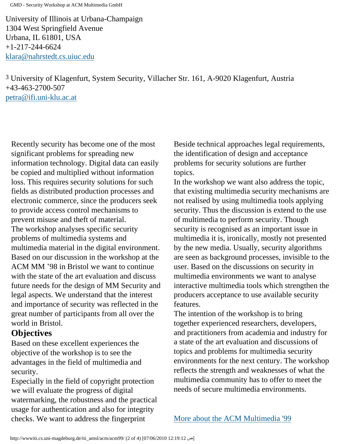GMD - Security Workshop at ACM Multimedia GmbH

University of Illinois at Urbana-Champaign 1304 West Springfield Avenue Urbana, IL 61801, USA +1-217-244-6624 [klara@nahrstedt.cs.uiuc.edu](mailto: klara@nahrstedt.cs.uiuc.edu)

<span id="page-1-0"></span>3 University of Klagenfurt, System Security, Villacher Str. 161, A-9020 Klagenfurt, Austria +43-463-2700-507 [petra@ifi.uni-klu.ac.at](mailto: petra@ifi.uni-klu.ac.at)

Recently security has become one of the most significant problems for spreading new information technology. Digital data can easily be copied and multiplied without information loss. This requires security solutions for such fields as distributed production processes and electronic commerce, since the producers seek to provide access control mechanisms to prevent misuse and theft of material. The workshop analyses specific security problems of multimedia systems and multimedia material in the digital environment. Based on our discussion in the workshop at the ACM MM '98 in Bristol we want to continue with the state of the art evaluation and discuss future needs for the design of MM Security and legal aspects. We understand that the interest and importance of security was reflected in the great number of participants from all over the world in Bristol.

### **Objectives**

Based on these excellent experiences the objective of the workshop is to see the advantages in the field of multimedia and security.

Especially in the field of copyright protection we will evaluate the progress of digital watermarking, the robustness and the practical usage for authentication and also for integrity checks. We want to address the fingerprint

Beside technical approaches legal requirements, the identification of design and acceptance problems for security solutions are further topics.

In the workshop we want also address the topic, that existing multimedia security mechanisms are not realised by using multimedia tools applying security. Thus the discussion is extend to the use of multimedia to perform security. Though security is recognised as an important issue in multimedia it is, ironically, mostly not presented by the new media. Usually, security algorithms are seen as background processes, invisible to the user. Based on the discussions on security in multimedia environments we want to analyse interactive multimedia tools which strengthen the producers acceptance to use available security features.

The intention of the workshop is to bring together experienced researchers, developers, and practitioners from academia and industry for a state of the art evaluation and discussions of topics and problems for multimedia security environments for the next century. The workshop reflects the strength and weaknesses of what the multimedia community has to offer to meet the needs of secure multimedia environments.

[More about the ACM Multimedia '99](http://www.kom.e-technik.tu-darmstadt.de/acmmm99/index.html)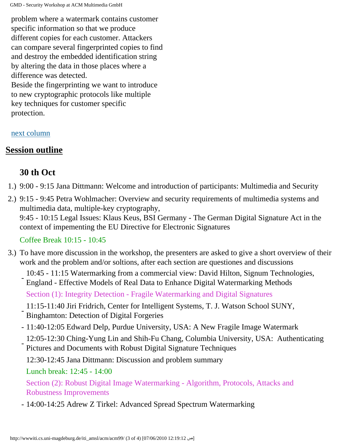GMD - Security Workshop at ACM Multimedia GmbH

problem where a watermark contains customer specific information so that we produce different copies for each customer. Attackers can compare several fingerprinted copies to find and destroy the embedded identification string by altering the data in those places where a difference was detected. Beside the fingerprinting we want to introduce to new cryptographic protocols like multiple key techniques for customer specific protection.

#### <span id="page-2-0"></span>[next column](#page-2-0)

## **Session outline**

## **30 th Oct**

- 1.) 9:00 9:15 Jana Dittmann: Welcome and introduction of participants: Multimedia and Security
- 2.) 9:15 9:45 Petra Wohlmacher: Overview and security requirements of multimedia systems and multimedia data, multiple-key cryptography, 9:45 - 10:15 Legal Issues: Klaus Keus, BSI Germany - The German Digital Signature Act in the

context of impementing the EU Directive for Electronic Signatures

#### Coffee Break 10:15 - 10:45

- 3.) To have more discussion in the workshop, the presenters are asked to give a short overview of their work and the problem and/or soltions, after each section are questiones and discussions
	- 10:45 11:15 Watermarking from a commercial view: David Hilton, Signum Technologies, England - Effective Models of Real Data to Enhance Digital Watermarking Methods

Section (1): Integrity Detection - Fragile Watermarking and Digital Signatures

- 11:15-11:40 Jiri Fridrich, Center for Intelligent Systems, T. J. Watson School SUNY, Binghamton: Detection of Digital Forgeries

- 11:40-12:05 Edward Delp, Purdue University, USA: A New Fragile Image Watermark
- 12:05-12:30 Ching-Yung Lin and Shih-Fu Chang, Columbia University, USA: Authenticating Pictures and Documents with Robust Digital Signature Techniques
- 12:30-12:45 Jana Dittmann: Discussion and problem summary
- Lunch break: 12:45 14:00

Section (2): Robust Digital Image Watermarking - Algorithm, Protocols, Attacks and Robustness Improvements

- 14:00-14:25 Adrew Z Tirkel: Advanced Spread Spectrum Watermarking